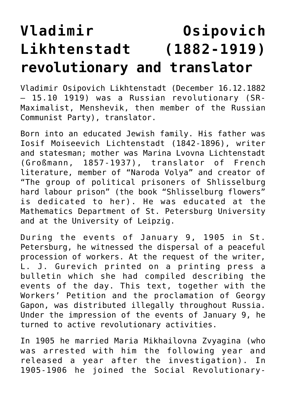## **[Vladimir Osipovich](https://www.matrioska.info/storia/biografie/vladimir-osipovich-likhtenstadt-1882-1919-revolutionary-and-translator/) [Likhtenstadt \(1882-1919\)](https://www.matrioska.info/storia/biografie/vladimir-osipovich-likhtenstadt-1882-1919-revolutionary-and-translator/) [revolutionary and translator](https://www.matrioska.info/storia/biografie/vladimir-osipovich-likhtenstadt-1882-1919-revolutionary-and-translator/)**

Vladimir Osipovich Likhtenstadt (December 16.12.1882 – 15.10 1919) was a Russian revolutionary (SR-Maximalist, Menshevik, then member of the Russian Communist Party), translator.

Born into an educated Jewish family. His father was Iosif Moiseevich Lichtenstadt (1842-1896), writer and statesman; mother was Marina Lvovna Lichtenstadt (Großmann, 1857-1937), translator of French literature, member of "Naroda Volya" and creator of "The group of political prisoners of Shlisselburg hard labour prison" (the book "Shlisselburg flowers" is dedicated to her). He was educated at the Mathematics Department of St. Petersburg University and at the University of Leipzig.

During the events of January 9, 1905 in St. Petersburg, he witnessed the dispersal of a peaceful procession of workers. At the request of the writer, L. J. Gurevich printed on a printing press a bulletin which she had compiled describing the events of the day. This text, together with the Workers' Petition and the proclamation of Georgy Gapon, was distributed illegally throughout Russia. Under the impression of the events of January 9, he turned to active revolutionary activities.

In 1905 he married Maria Mikhailovna Zvyagina (who was arrested with him the following year and released a year after the investigation). In 1905-1906 he joined the Social Revolutionary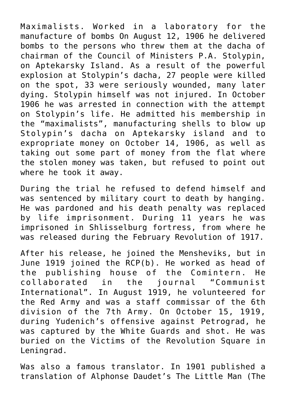Maximalists. Worked in a laboratory for the manufacture of bombs On August 12, 1906 he delivered bombs to the persons who threw them at the dacha of chairman of the Council of Ministers P.A. Stolypin, on Aptekarsky Island. As a result of the powerful explosion at Stolypin's dacha, 27 people were killed on the spot, 33 were seriously wounded, many later dying. Stolypin himself was not injured. In October 1906 he was arrested in connection with the attempt on Stolypin's life. He admitted his membership in the "maximalists", manufacturing shells to blow up Stolypin's dacha on Aptekarsky island and to expropriate money on October 14, 1906, as well as taking out some part of money from the flat where the stolen money was taken, but refused to point out where he took it away.

During the trial he refused to defend himself and was sentenced by military court to death by hanging. He was pardoned and his death penalty was replaced by life imprisonment. During 11 years he was imprisoned in Shlisselburg fortress, from where he was released during the February Revolution of 1917.

After his release, he joined the Mensheviks, but in June 1919 joined the RCP(b). He worked as head of the publishing house of the Comintern. He collaborated in the journal "Communist International". In August 1919, he volunteered for the Red Army and was a staff commissar of the 6th division of the 7th Army. On October 15, 1919, during Yudenich's offensive against Petrograd, he was captured by the White Guards and shot. He was buried on the Victims of the Revolution Square in Leningrad.

Was also a famous translator. In 1901 published a translation of Alphonse Daudet's The Little Man (The